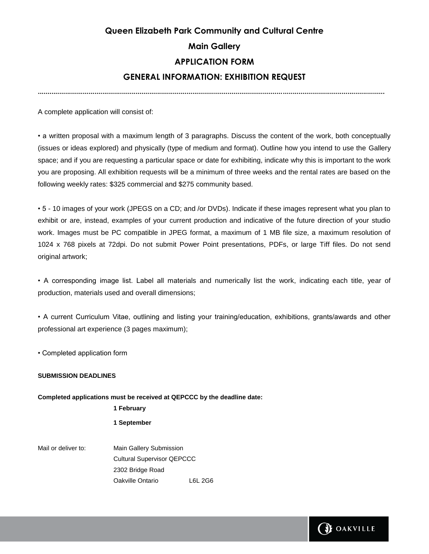# **Queen Elizabeth Park Community and Cultural Centre Main Gallery APPLICATION FORM GENERAL INFORMATION: EXHIBITION REQUEST**

**.................................................................................................................................................................................**

A complete application will consist of:

• a written proposal with a maximum length of 3 paragraphs. Discuss the content of the work, both conceptually (issues or ideas explored) and physically (type of medium and format). Outline how you intend to use the Gallery space; and if you are requesting a particular space or date for exhibiting, indicate why this is important to the work you are proposing. All exhibition requests will be a minimum of three weeks and the rental rates are based on the following weekly rates: \$325 commercial and \$275 community based.

• 5 - 10 images of your work (JPEGS on a CD; and /or DVDs). Indicate if these images represent what you plan to exhibit or are, instead, examples of your current production and indicative of the future direction of your studio work. Images must be PC compatible in JPEG format, a maximum of 1 MB file size, a maximum resolution of 1024 x 768 pixels at 72dpi. Do not submit Power Point presentations, PDFs, or large Tiff files. Do not send original artwork;

• A corresponding image list. Label all materials and numerically list the work, indicating each title, year of production, materials used and overall dimensions;

• A current Curriculum Vitae, outlining and listing your training/education, exhibitions, grants/awards and other professional art experience (3 pages maximum);

• Completed application form

### **SUBMISSION DEADLINES**

#### **Completed applications must be received at QEPCCC by the deadline date:**

**1 February**

## **1 September**

Mail or deliver to: Main Gallery Submission Cultural Supervisor QEPCCC 2302 Bridge Road Oakville Ontario L6L 2G6

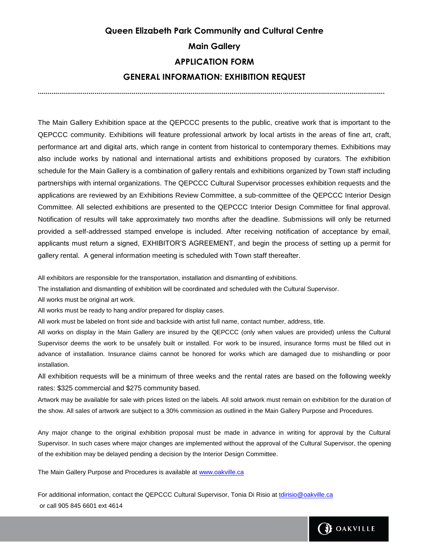# **Queen Elizabeth Park Community and Cultural Centre Main Gallery APPLICATION FORM GENERAL INFORMATION: EXHIBITION REQUEST**

**.................................................................................................................................................................................**

The Main Gallery Exhibition space at the QEPCCC presents to the public, creative work that is important to the QEPCCC community. Exhibitions will feature professional artwork by local artists in the areas of fine art, craft, performance art and digital arts, which range in content from historical to contemporary themes. Exhibitions may also include works by national and international artists and exhibitions proposed by curators. The exhibition schedule for the Main Gallery is a combination of gallery rentals and exhibitions organized by Town staff including partnerships with internal organizations. The QEPCCC Cultural Supervisor processes exhibition requests and the applications are reviewed by an Exhibitions Review Committee, a sub-committee of the QEPCCC Interior Design Committee. All selected exhibitions are presented to the QEPCCC Interior Design Committee for final approval. Notification of results will take approximately two months after the deadline. Submissions will only be returned provided a self-addressed stamped envelope is included. After receiving notification of acceptance by email, applicants must return a signed, EXHIBITOR'S AGREEMENT, and begin the process of setting up a permit for gallery rental. A general information meeting is scheduled with Town staff thereafter.

All exhibitors are responsible for the transportation, installation and dismantling of exhibitions.

The installation and dismantling of exhibition will be coordinated and scheduled with the Cultural Supervisor.

All works must be original art work.

All works must be ready to hang and/or prepared for display cases.

All work must be labeled on front side and backside with artist full name, contact number, address, title.

All works on display in the Main Gallery are insured by the QEPCCC (only when values are provided) unless the Cultural Supervisor deems the work to be unsafely built or installed. For work to be insured, insurance forms must be filled out in advance of installation. Insurance claims cannot be honored for works which are damaged due to mishandling or poor installation.

All exhibition requests will be a minimum of three weeks and the rental rates are based on the following weekly rates: \$325 commercial and \$275 community based.

Artwork may be available for sale with prices listed on the labels. All sold artwork must remain on exhibition for the duration of the show. All sales of artwork are subject to a 30% commission as outlined in the Main Gallery Purpose and Procedures.

Any major change to the original exhibition proposal must be made in advance in writing for approval by the Cultural Supervisor. In such cases where major changes are implemented without the approval of the Cultural Supervisor, the opening of the exhibition may be delayed pending a decision by the Interior Design Committee.

The Main Gallery Purpose and Procedures is available at [www.oakville.ca](http://www.oakville.ca/)

For additional information, contact the QEPCCC Cultural Supervisor, Tonia Di Risio at [tdirisio@oakville.ca](mailto:tdirisio@oakville.ca) or call 905 845 6601 ext 4614